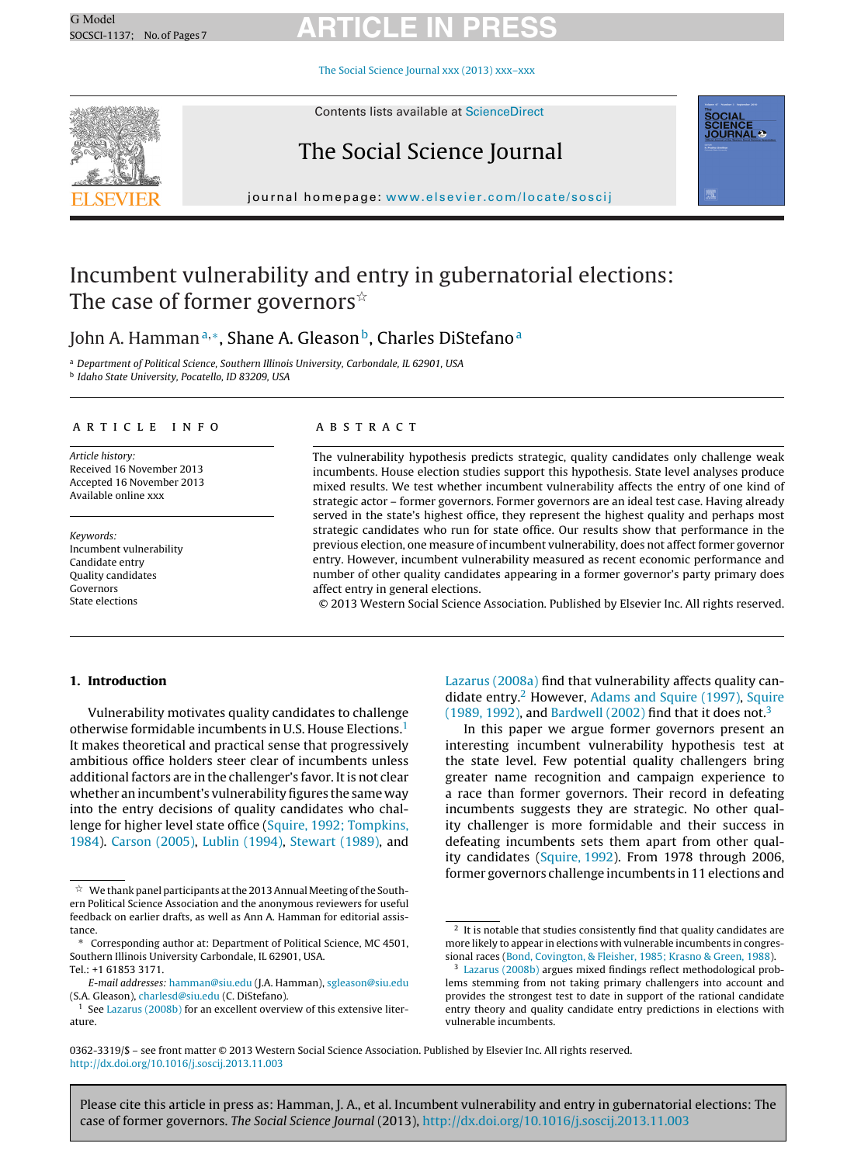The Social Science Journal xxx (2013) [xxx–xxx](dx.doi.org/10.1016/j.soscij.2013.11.003)



Contents lists available at [ScienceDirect](http://www.sciencedirect.com/science/journal/03623319)

### The Social Science Journal



journal homepage: [www.elsevier.com/locate/soscij](http://www.elsevier.com/locate/soscij)

### Incumbent vulnerability and entry in gubernatorial elections: The case of former governors $^{\scriptscriptstyle\mathrm{\mathop{\times}}}$

### John A. Hamman<sup>a,∗</sup>, Shane A. Gleason<sup>b</sup>, Charles DiStefano<sup>a</sup>

<sup>a</sup> Department of Political Science, Southern Illinois University, Carbondale, IL 62901, USA

<sup>b</sup> Idaho State University, Pocatello, ID 83209, USA

### a r t i c l e i n f o

Article history: Received 16 November 2013 Accepted 16 November 2013 Available online xxx

Keywords: Incumbent vulnerability Candidate entry Quality candidates Governors State elections

### A B S T R A C T

The vulnerability hypothesis predicts strategic, quality candidates only challenge weak incumbents. House election studies support this hypothesis. State level analyses produce mixed results. We test whether incumbent vulnerability affects the entry of one kind of strategic actor – former governors. Former governors are an ideal test case. Having already served in the state's highest office, they represent the highest quality and perhaps most strategic candidates who run for state office. Our results show that performance in the previous election, one measure of incumbent vulnerability, does not affect former governor entry. However, incumbent vulnerability measured as recent economic performance and number of other quality candidates appearing in a former governor's party primary does affect entry in general elections.

© 2013 Western Social Science Association. Published by Elsevier Inc. All rights reserved.

#### **1. Introduction**

Vulnerability motivates quality candidates to challenge otherwise formidable incumbents in U.S. House Elections.1 It makes theoretical and practical sense that progressively ambitious office holders steer clear of incumbents unless additional factors are in the challenger's favor. It is not clear whether an incumbent's vulnerability figures the same way into the entry decisions of quality candidates who challenge for higher level state office ([Squire,](#page-6-0) [1992;](#page-6-0) [Tompkins,](#page-6-0) [1984\).](#page-6-0) [Carson](#page-6-0) [\(2005\),](#page-6-0) [Lublin](#page-6-0) [\(1994\),](#page-6-0) [Stewart](#page-6-0) [\(1989\),](#page-6-0) and

[Lazarus](#page-6-0) [\(2008a\)](#page-6-0) find that vulnerability affects quality candidate entry. $2$  However, [Adams](#page-6-0) [and](#page-6-0) [Squire](#page-6-0) [\(1997\),](#page-6-0) Squire [\(1989,](#page-6-0) [1992\),](#page-6-0) and [Bardwell](#page-6-0) [\(2002\)](#page-6-0) find that it does not.<sup>3</sup>

In this paper we argue former governors present an interesting incumbent vulnerability hypothesis test at the state level. Few potential quality challengers bring greater name recognition and campaign experience to a race than former governors. Their record in defeating incumbents suggests they are strategic. No other quality challenger is more formidable and their success in defeating incumbents sets them apart from other quality candidates [\(Squire,](#page-6-0) [1992\).](#page-6-0) From 1978 through 2006, former governors challenge incumbents in 11 elections and

 $\overline{\mathbb{X}}$  We thank panel participants at the 2013 Annual Meeting of the Southern Political Science Association and the anonymous reviewers for useful feedback on earlier drafts, as well as Ann A. Hamman for editorial assistance.

<sup>∗</sup> Corresponding author at: Department of Political Science, MC 4501, Southern Illinois University Carbondale, IL 62901, USA. Tel.: +1 61853 3171.

E-mail addresses: [hamman@siu.edu](mailto:hamman@siu.edu) (J.A. Hamman), [sgleason@siu.edu](mailto:sgleason@siu.edu) (S.A. Gleason), [charlesd@siu.edu](mailto:charlesd@siu.edu) (C. DiStefano).

<sup>&</sup>lt;sup>1</sup> See [Lazarus](#page-6-0) [\(2008b\)](#page-6-0) for an excellent overview of this extensive literature.

 $^2$  It is notable that studies consistently find that quality candidates are more likely to appear in elections with vulnerable incumbents in congressional races ([Bond,](#page-6-0) [Covington,](#page-6-0) [&](#page-6-0) [Fleisher,](#page-6-0) [1985;](#page-6-0) [Krasno](#page-6-0) [&](#page-6-0) [Green,](#page-6-0) [1988\).](#page-6-0)

<sup>3</sup> [Lazarus](#page-6-0) [\(2008b\)](#page-6-0) argues mixed findings reflect methodological problems stemming from not taking primary challengers into account and provides the strongest test to date in support of the rational candidate entry theory and quality candidate entry predictions in elections with vulnerable incumbents.

<sup>0362-3319/\$</sup> – see front matter © 2013 Western Social Science Association. Published by Elsevier Inc. All rights reserved. [http://dx.doi.org/10.1016/j.soscij.2013.11.003](dx.doi.org/10.1016/j.soscij.2013.11.003)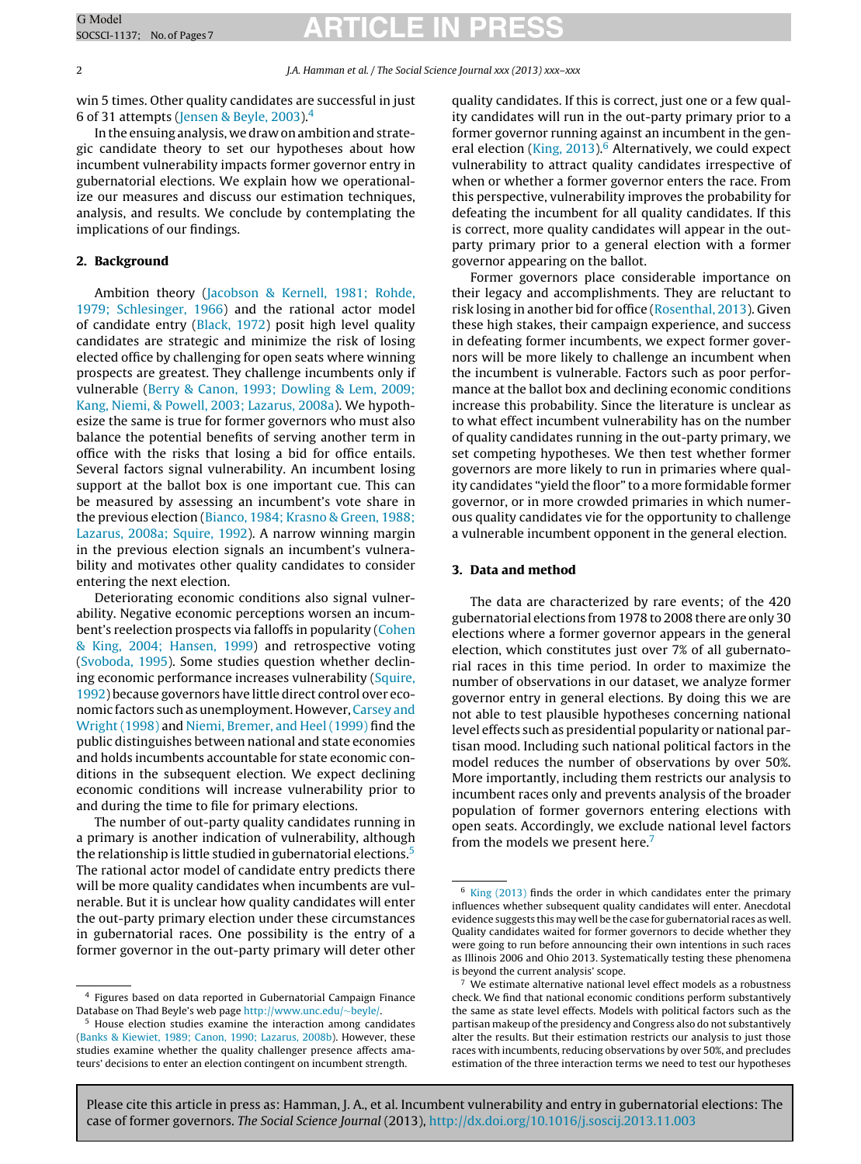win 5 times. Other quality candidates are successful in just 6 of 31 attempts ([Jensen](#page-6-0) [&](#page-6-0) [Beyle,](#page-6-0) [2003\).4](#page-6-0)

In the ensuing analysis, we draw on ambition and strategic candidate theory to set our hypotheses about how incumbent vulnerability impacts former governor entry in gubernatorial elections. We explain how we operationalize our measures and discuss our estimation techniques, analysis, and results. We conclude by contemplating the implications of our findings.

### **2. Background**

Ambition theory ([Jacobson](#page-6-0) [&](#page-6-0) [Kernell,](#page-6-0) [1981;](#page-6-0) [Rohde,](#page-6-0) [1979;](#page-6-0) [Schlesinger,](#page-6-0) [1966\)](#page-6-0) and the rational actor model of candidate entry ([Black,](#page-6-0) [1972\)](#page-6-0) posit high level quality candidates are strategic and minimize the risk of losing elected office by challenging for open seats where winning prospects are greatest. They challenge incumbents only if vulnerable [\(Berry](#page-6-0) [&](#page-6-0) [Canon,](#page-6-0) [1993;](#page-6-0) [Dowling](#page-6-0) [&](#page-6-0) [Lem,](#page-6-0) [2009;](#page-6-0) [Kang,](#page-6-0) [Niemi,](#page-6-0) [&](#page-6-0) [Powell,](#page-6-0) [2003;](#page-6-0) [Lazarus,](#page-6-0) [2008a\).](#page-6-0) We hypothesize the same is true for former governors who must also balance the potential benefits of serving another term in office with the risks that losing a bid for office entails. Several factors signal vulnerability. An incumbent losing support at the ballot box is one important cue. This can be measured by assessing an incumbent's vote share in the previous election [\(Bianco,](#page-6-0) [1984;](#page-6-0) [Krasno](#page-6-0) [&](#page-6-0) [Green,](#page-6-0) [1988;](#page-6-0) [Lazarus,](#page-6-0) [2008a;](#page-6-0) [Squire,](#page-6-0) [1992\).](#page-6-0) A narrow winning margin in the previous election signals an incumbent's vulnerability and motivates other quality candidates to consider entering the next election.

Deteriorating economic conditions also signal vulnerability. Negative economic perceptions worsen an incumbent's reelection prospects via falloffs in popularity [\(Cohen](#page-6-0) [&](#page-6-0) [King,](#page-6-0) [2004;](#page-6-0) [Hansen,](#page-6-0) [1999\)](#page-6-0) and retrospective voting [\(Svoboda,](#page-6-0) [1995\).](#page-6-0) Some studies question whether declin-ing economic performance increases vulnerability [\(Squire,](#page-6-0) [1992\)](#page-6-0) because governors have little direct control over economic factors such as unemployment. However, [Carsey](#page-6-0) [and](#page-6-0) [Wright](#page-6-0) [\(1998\)](#page-6-0) and [Niemi,](#page-6-0) [Bremer,](#page-6-0) [and](#page-6-0) [Heel](#page-6-0) [\(1999\)](#page-6-0) find the public distinguishes between national and state economies and holds incumbents accountable for state economic conditions in the subsequent election. We expect declining economic conditions will increase vulnerability prior to and during the time to file for primary elections.

The number of out-party quality candidates running in a primary is another indication of vulnerability, although the relationship is little studied in gubernatorial elections.<sup>5</sup> The rational actor model of candidate entry predicts there will be more quality candidates when incumbents are vulnerable. But it is unclear how quality candidates will enter the out-party primary election under these circumstances in gubernatorial races. One possibility is the entry of a former governor in the out-party primary will deter other

quality candidates. If this is correct, just one or a few quality candidates will run in the out-party primary prior to a former governor running against an incumbent in the gen-eral election [\(King,](#page-6-0) 2013).<sup>6</sup> Alternatively, we could expect vulnerability to attract quality candidates irrespective of when or whether a former governor enters the race. From this perspective, vulnerability improves the probability for defeating the incumbent for all quality candidates. If this is correct, more quality candidates will appear in the outparty primary prior to a general election with a former governor appearing on the ballot.

Former governors place considerable importance on their legacy and accomplishments. They are reluctant to risk losing in another bid for office [\(Rosenthal,](#page-6-0) [2013\).](#page-6-0) Given these high stakes, their campaign experience, and success in defeating former incumbents, we expect former governors will be more likely to challenge an incumbent when the incumbent is vulnerable. Factors such as poor performance at the ballot box and declining economic conditions increase this probability. Since the literature is unclear as to what effect incumbent vulnerability has on the number of quality candidates running in the out-party primary, we set competing hypotheses. We then test whether former governors are more likely to run in primaries where quality candidates "yield the floor" to a more formidable former governor, or in more crowded primaries in which numerous quality candidates vie for the opportunity to challenge a vulnerable incumbent opponent in the general election.

#### **3. Data and method**

The data are characterized by rare events; of the 420 gubernatorial elections from 1978 to 2008 there are only 30 elections where a former governor appears in the general election, which constitutes just over 7% of all gubernatorial races in this time period. In order to maximize the number of observations in our dataset, we analyze former governor entry in general elections. By doing this we are not able to test plausible hypotheses concerning national level effects such as presidential popularity or national partisan mood. Including such national political factors in the model reduces the number of observations by over 50%. More importantly, including them restricts our analysis to incumbent races only and prevents analysis of the broader population of former governors entering elections with open seats. Accordingly, we exclude national level factors from the models we present here.<sup>7</sup>

<sup>4</sup> Figures based on data reported in Gubernatorial Campaign Finance Database on Thad Beyle's web page [http://www.unc.edu/](http://www.unc.edu/~beyle/)∼beyle/. <sup>5</sup> House election studies examine the interaction among candidates

<sup>(</sup>[Banks](#page-6-0) [&](#page-6-0) [Kiewiet,](#page-6-0) [1989;](#page-6-0) [Canon,](#page-6-0) [1990;](#page-6-0) [Lazarus,](#page-6-0) [2008b\).](#page-6-0) However, these studies examine whether the quality challenger presence affects amateurs' decisions to enter an election contingent on incumbent strength.

<sup>6</sup> [King](#page-6-0) [\(2013\)](#page-6-0) finds the order in which candidates enter the primary influences whether subsequent quality candidates will enter. Anecdotal evidence suggests this may well be the case for gubernatorial races as well. Quality candidates waited for former governors to decide whether they were going to run before announcing their own intentions in such races as Illinois 2006 and Ohio 2013. Systematically testing these phenomena is beyond the current analysis' scope.

We estimate alternative national level effect models as a robustness check. We find that national economic conditions perform substantively the same as state level effects. Models with political factors such as the partisan makeup of the presidency and Congress also do not substantively alter the results. But their estimation restricts our analysis to just those races with incumbents, reducing observations by over 50%, and precludes estimation of the three interaction terms we need to test our hypotheses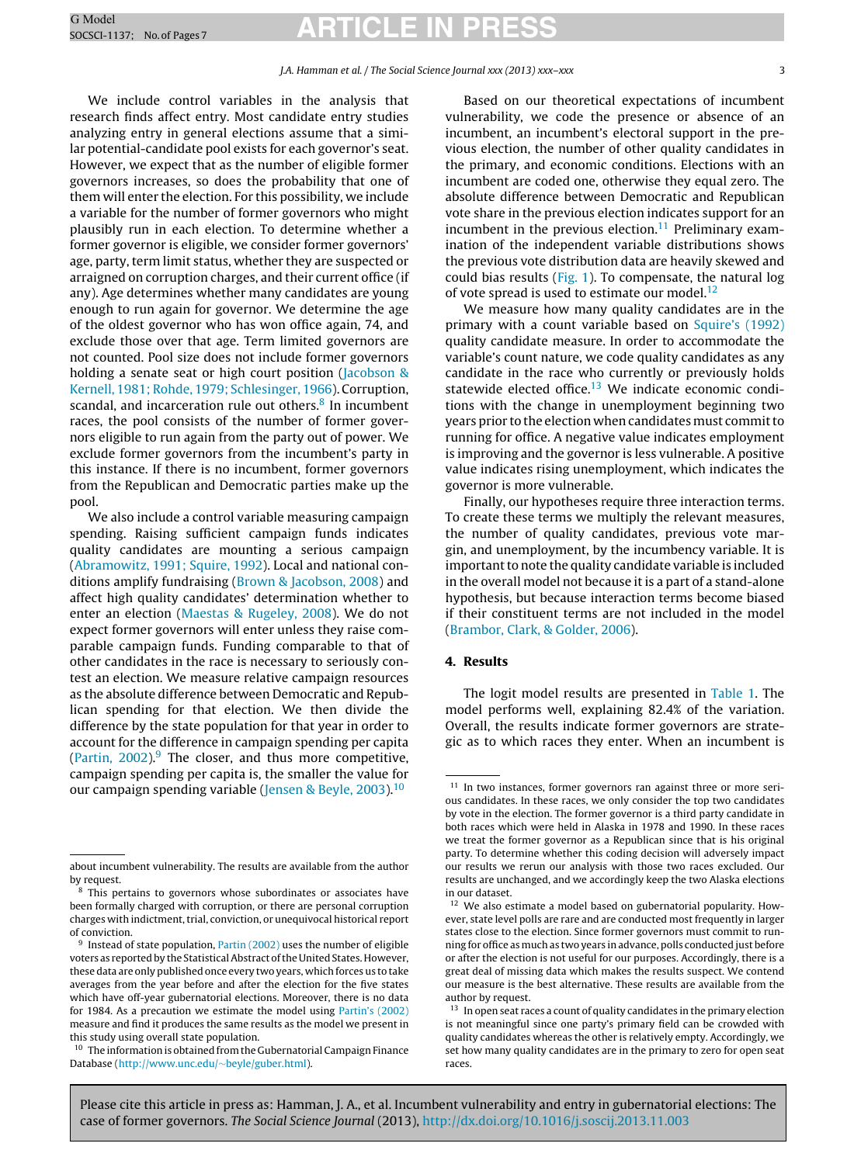We include control variables in the analysis that research finds affect entry. Most candidate entry studies analyzing entry in general elections assume that a similar potential-candidate pool exists for each governor's seat. However, we expect that as the number of eligible former governors increases, so does the probability that one of them will enter the election. For this possibility, we include a variable for the number of former governors who might plausibly run in each election. To determine whether a former governor is eligible, we consider former governors' age, party, term limit status, whether they are suspected or arraigned on corruption charges, and their current office (if any). Age determines whether many candidates are young enough to run again for governor. We determine the age of the oldest governor who has won office again, 74, and exclude those over that age. Term limited governors are not counted. Pool size does not include former governors holding a senate seat or high court position [\(Jacobson](#page-6-0) [&](#page-6-0) [Kernell,](#page-6-0) [1981;](#page-6-0) [Rohde,](#page-6-0) [1979;](#page-6-0) [Schlesinger,](#page-6-0) [1966\).](#page-6-0) Corruption, scandal, and incarceration rule out others. $8 \text{ In}$  incumbent races, the pool consists of the number of former governors eligible to run again from the party out of power. We exclude former governors from the incumbent's party in this instance. If there is no incumbent, former governors from the Republican and Democratic parties make up the pool.

We also include a control variable measuring campaign spending. Raising sufficient campaign funds indicates quality candidates are mounting a serious campaign [\(Abramowitz,](#page-6-0) [1991;](#page-6-0) [Squire,](#page-6-0) [1992\).](#page-6-0) Local and national conditions amplify fundraising ([Brown](#page-6-0) [&](#page-6-0) [Jacobson,](#page-6-0) [2008\)](#page-6-0) and affect high quality candidates' determination whether to enter an election ([Maestas](#page-6-0) [&](#page-6-0) [Rugeley,](#page-6-0) [2008\).](#page-6-0) We do not expect former governors will enter unless they raise comparable campaign funds. Funding comparable to that of other candidates in the race is necessary to seriously contest an election. We measure relative campaign resources as the absolute difference between Democratic and Republican spending for that election. We then divide the difference by the state population for that year in order to account for the difference in campaign spending per capita [\(Partin,](#page-6-0)  $2002$ ).<sup>9</sup> The closer, and thus more competitive, campaign spending per capita is, the smaller the value for our campaign spending variable [\(Jensen](#page-6-0) [&](#page-6-0) [Beyle,](#page-6-0) [2003\).](#page-6-0)<sup>10</sup>

Based on our theoretical expectations of incumbent vulnerability, we code the presence or absence of an incumbent, an incumbent's electoral support in the previous election, the number of other quality candidates in the primary, and economic conditions. Elections with an incumbent are coded one, otherwise they equal zero. The absolute difference between Democratic and Republican vote share in the previous election indicates support for an incumbent in the previous election.<sup>11</sup> Preliminary examination of the independent variable distributions shows the previous vote distribution data are heavily skewed and could bias results [\(Fig.](#page-3-0) 1). To compensate, the natural log of vote spread is used to estimate our model.<sup>12</sup>

We measure how many quality candidates are in the primary with a count variable based on [Squire's](#page-6-0) [\(1992\)](#page-6-0) quality candidate measure. In order to accommodate the variable's count nature, we code quality candidates as any candidate in the race who currently or previously holds statewide elected office. $13$  We indicate economic conditions with the change in unemployment beginning two years prior to the election when candidates must commit to running for office. A negative value indicates employment is improving and the governor is less vulnerable. A positive value indicates rising unemployment, which indicates the governor is more vulnerable.

Finally, our hypotheses require three interaction terms. To create these terms we multiply the relevant measures, the number of quality candidates, previous vote margin, and unemployment, by the incumbency variable. It is important to note the quality candidate variable is included in the overall model not because it is a part of a stand-alone hypothesis, but because interaction terms become biased if their constituent terms are not included in the model [\(Brambor,](#page-6-0) [Clark,](#page-6-0) [&](#page-6-0) [Golder,](#page-6-0) [2006\).](#page-6-0)

### **4. Results**

The logit model results are presented in [Table](#page-3-0) 1. The model performs well, explaining 82.4% of the variation. Overall, the results indicate former governors are strategic as to which races they enter. When an incumbent is

about incumbent vulnerability. The results are available from the author by request.

<sup>8</sup> This pertains to governors whose subordinates or associates have been formally charged with corruption, or there are personal corruption charges with indictment, trial, conviction, or unequivocal historical report of conviction.

<sup>&</sup>lt;sup>9</sup> Instead of state population, [Partin](#page-6-0) [\(2002\)](#page-6-0) uses the number of eligible voters as reported by the Statistical Abstract of the United States. However, these data are only published once every two years, which forces us to take averages from the year before and after the election for the five states which have off-year gubernatorial elections. Moreover, there is no data for 1984. As a precaution we estimate the model using [Partin's](#page-6-0) [\(2002\)](#page-6-0) measure and find it produces the same results as the model we present in this study using overall state population.

 $^{\rm 10}$  The information is obtained from the Gubernatorial Campaign Finance Database ([http://www.unc.edu/](http://www.unc.edu/~beyle/guber.html)∼beyle/guber.html).

<sup>&</sup>lt;sup>11</sup> In two instances, former governors ran against three or more serious candidates. In these races, we only consider the top two candidates by vote in the election. The former governor is a third party candidate in both races which were held in Alaska in 1978 and 1990. In these races we treat the former governor as a Republican since that is his original party. To determine whether this coding decision will adversely impact our results we rerun our analysis with those two races excluded. Our results are unchanged, and we accordingly keep the two Alaska elections in our dataset.

<sup>12</sup> We also estimate a model based on gubernatorial popularity. However, state level polls are rare and are conducted most frequently in larger states close to the election. Since former governors must commit to running for office as much as two years in advance, polls conducted just before or after the election is not useful for our purposes. Accordingly, there is a great deal of missing data which makes the results suspect. We contend our measure is the best alternative. These results are available from the author by request.

 $13$  In open seat races a count of quality candidates in the primary election is not meaningful since one party's primary field can be crowded with quality candidates whereas the other is relatively empty. Accordingly, we set how many quality candidates are in the primary to zero for open seat races.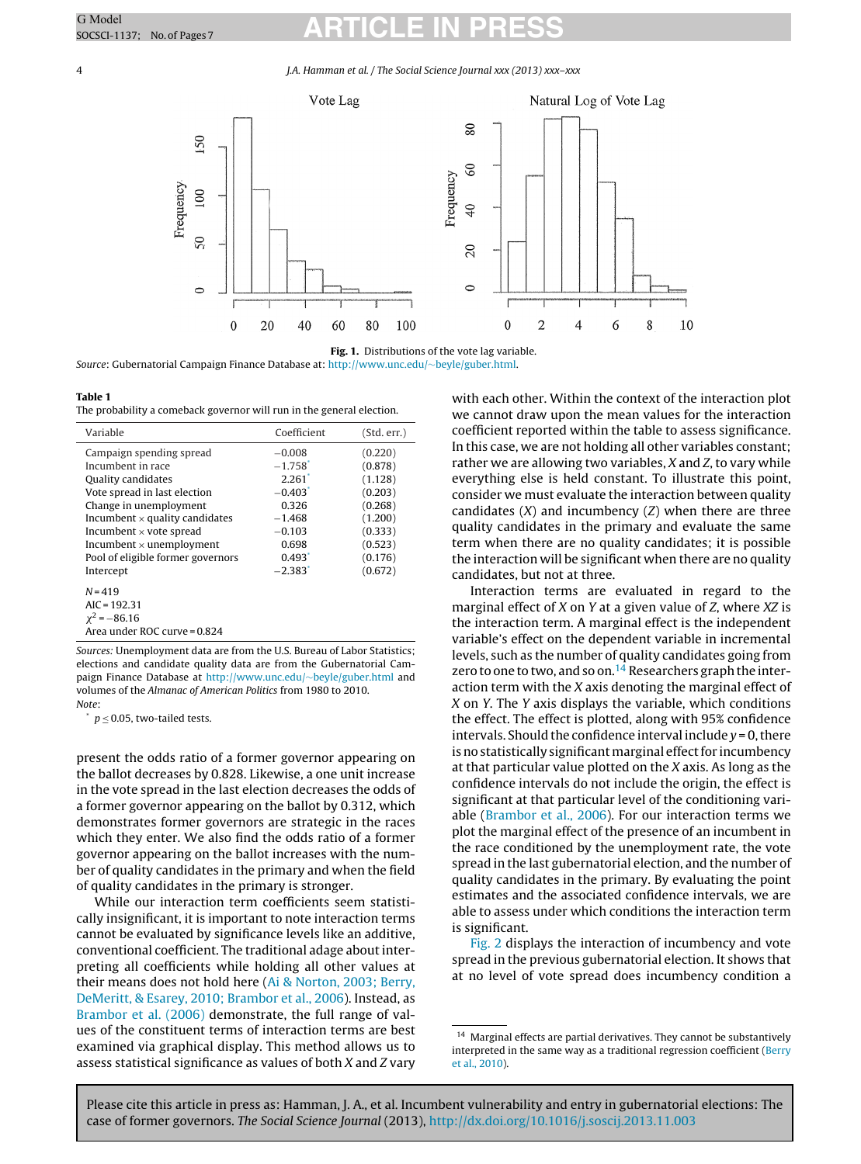<span id="page-3-0"></span>4 J.A. Hamman et al. / The Social Science Journal xxx (2013) xxx–xxx



**Fig. 1.** Distributions of the vote lag variable. Source: Gubernatorial Campaign Finance Database at: [http://www.unc.edu/](http://www.unc.edu/~beyle/guber.html)∼beyle/guber.html.

#### **Table 1**

The probability a comeback governor will run in the general election.

| Variable                                                                                                                                                                                                                                                                                      | Coefficient                                                                                                                                                                   | (Std. err.)                                                                                                |
|-----------------------------------------------------------------------------------------------------------------------------------------------------------------------------------------------------------------------------------------------------------------------------------------------|-------------------------------------------------------------------------------------------------------------------------------------------------------------------------------|------------------------------------------------------------------------------------------------------------|
| Campaign spending spread<br>Incumbent in race<br>Quality candidates<br>Vote spread in last election<br>Change in unemployment<br>Incumbent $\times$ quality candidates<br>Incumbent $\times$ vote spread<br>Incumbent $\times$ unemployment<br>Pool of eligible former governors<br>Intercept | $-0.008$<br>$-1.758$ <sup>*</sup><br>$2.261$ <sup>*</sup><br>$-0.403$ <sup>*</sup><br>0.326<br>$-1.468$<br>$-0.103$<br>0.698<br>$0.493$ <sup>*</sup><br>$-2.383$ <sup>*</sup> | (0.220)<br>(0.878)<br>(1.128)<br>(0.203)<br>(0.268)<br>(1.200)<br>(0.333)<br>(0.523)<br>(0.176)<br>(0.672) |
| $N = 419$<br>$AIC = 192.31$<br>$\chi^2 = -86.16$<br>Area under ROC curve = 0.824                                                                                                                                                                                                              |                                                                                                                                                                               |                                                                                                            |

Sources: Unemployment data are from the U.S. Bureau of Labor Statistics; elections and candidate quality data are from the Gubernatorial Campaign Finance Database at [http://www.unc.edu/](http://www.unc.edu/~beyle/guber.html)∼beyle/guber.html and volumes of the Almanac of American Politics from 1980 to 2010. Note:

 $p \le 0.05$ , two-tailed tests.

present the odds ratio of a former governor appearing on the ballot decreases by 0.828. Likewise, a one unit increase in the vote spread in the last election decreases the odds of a former governor appearing on the ballot by 0.312, which demonstrates former governors are strategic in the races which they enter. We also find the odds ratio of a former governor appearing on the ballot increases with the number of quality candidates in the primary and when the field of quality candidates in the primary is stronger.

While our interaction term coefficients seem statistically insignificant, it is important to note interaction terms cannot be evaluated by significance levels like an additive, conventional coefficient. The traditional adage about interpreting all coefficients while holding all other values at their means does not hold here [\(Ai](#page-6-0) [&](#page-6-0) [Norton,](#page-6-0) [2003;](#page-6-0) [Berry,](#page-6-0) [DeMeritt,](#page-6-0) [&](#page-6-0) [Esarey,](#page-6-0) [2010;](#page-6-0) [Brambor](#page-6-0) et [al.,](#page-6-0) [2006\).](#page-6-0) Instead, as [Brambor](#page-6-0) et [al.](#page-6-0) [\(2006\)](#page-6-0) demonstrate, the full range of values of the constituent terms of interaction terms are best examined via graphical display. This method allows us to assess statistical significance as values of both X and Z vary

with each other. Within the context of the interaction plot we cannot draw upon the mean values for the interaction coefficient reported within the table to assess significance. In this case, we are not holding all other variables constant; rather we are allowing two variables, X and Z, to vary while everything else is held constant. To illustrate this point, consider we must evaluate the interaction between quality candidates  $(X)$  and incumbency  $(Z)$  when there are three quality candidates in the primary and evaluate the same term when there are no quality candidates; it is possible the interaction will be significant when there are no quality candidates, but not at three.

Interaction terms are evaluated in regard to the marginal effect of X on Y at a given value of Z, where XZ is the interaction term. A marginal effect is the independent variable's effect on the dependent variable in incremental levels, such as the number of quality candidates going from zero to one to two, and so on.<sup>14</sup> Researchers graph the interaction term with the X axis denoting the marginal effect of X on Y. The Y axis displays the variable, which conditions the effect. The effect is plotted, along with 95% confidence intervals. Should the confidence interval include  $y = 0$ , there is no statistically significant marginal effect for incumbency at that particular value plotted on the X axis. As long as the confidence intervals do not include the origin, the effect is significant at that particular level of the conditioning variable [\(Brambor](#page-6-0) et [al.,](#page-6-0) [2006\).](#page-6-0) For our interaction terms we plot the marginal effect of the presence of an incumbent in the race conditioned by the unemployment rate, the vote spread in the last gubernatorial election, and the number of quality candidates in the primary. By evaluating the point estimates and the associated confidence intervals, we are able to assess under which conditions the interaction term is significant.

[Fig.](#page-4-0) 2 displays the interaction of incumbency and vote spread in the previous gubernatorial election. It shows that at no level of vote spread does incumbency condition a

<sup>&</sup>lt;sup>14</sup> Marginal effects are partial derivatives. They cannot be substantively interpreted in the same way as a traditional regression coefficient ([Berry](#page-6-0) et [al.,](#page-6-0) [2010\).](#page-6-0)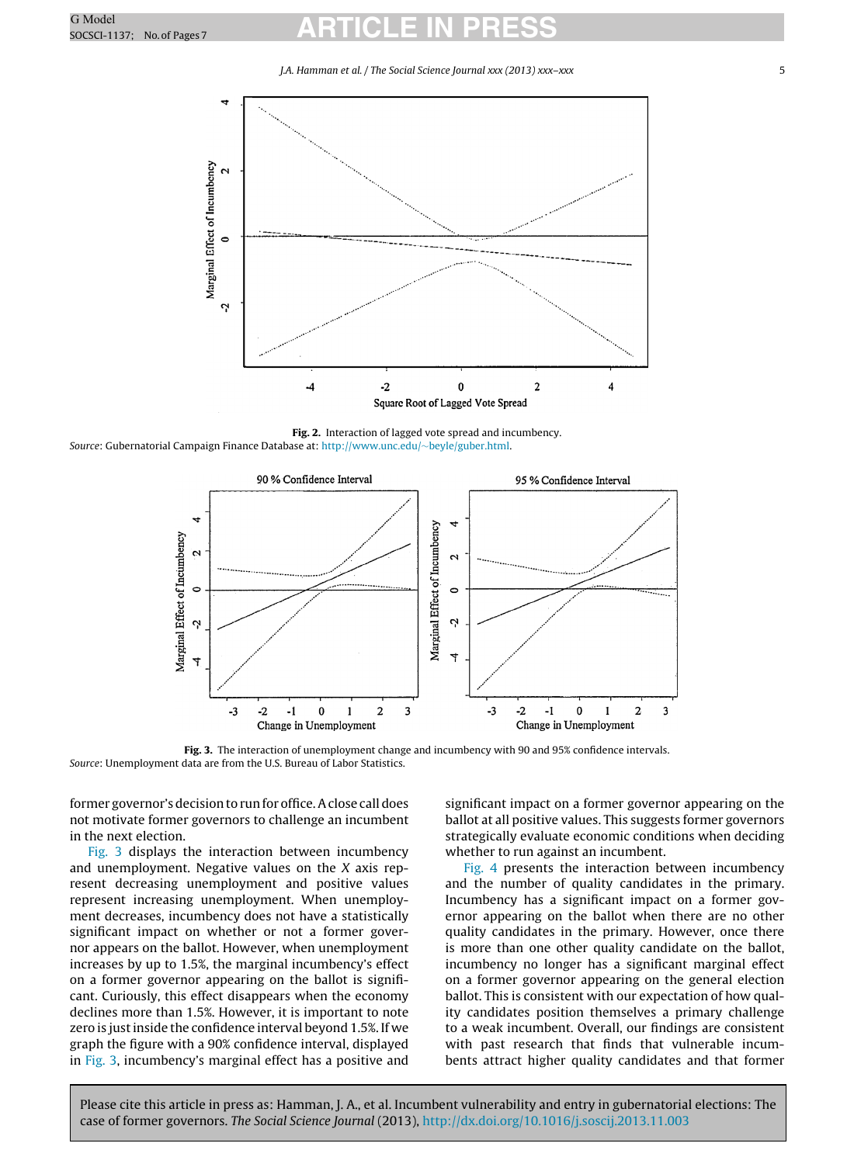J.A. Hamman et al. / The Social Science Journal xxx (2013) xxx–xxx 5

<span id="page-4-0"></span>

**Fig. 2.** Interaction of lagged vote spread and incumbency. Source: Gubernatorial Campaign Finance Database at: [http://www.unc.edu/](http://www.unc.edu/~beyle/guber.html)∼beyle/guber.html.



**Fig. 3.** The interaction of unemployment change and incumbency with 90 and 95% confidence intervals. Source: Unemployment data are from the U.S. Bureau of Labor Statistics.

former governor's decision to run for office. A close call does not motivate former governors to challenge an incumbent in the next election.

Fig. 3 displays the interaction between incumbency and unemployment. Negative values on the X axis represent decreasing unemployment and positive values represent increasing unemployment. When unemployment decreases, incumbency does not have a statistically significant impact on whether or not a former governor appears on the ballot. However, when unemployment increases by up to 1.5%, the marginal incumbency's effect on a former governor appearing on the ballot is significant. Curiously, this effect disappears when the economy declines more than 1.5%. However, it is important to note zero is just inside the confidence interval beyond 1.5%. If we graph the figure with a 90% confidence interval, displayed in Fig. 3, incumbency's marginal effect has a positive and significant impact on a former governor appearing on the ballot at all positive values. This suggests former governors strategically evaluate economic conditions when deciding whether to run against an incumbent.

[Fig.](#page-5-0) 4 presents the interaction between incumbency and the number of quality candidates in the primary. Incumbency has a significant impact on a former governor appearing on the ballot when there are no other quality candidates in the primary. However, once there is more than one other quality candidate on the ballot, incumbency no longer has a significant marginal effect on a former governor appearing on the general election ballot. This is consistent with our expectation of how quality candidates position themselves a primary challenge to a weak incumbent. Overall, our findings are consistent with past research that finds that vulnerable incumbents attract higher quality candidates and that former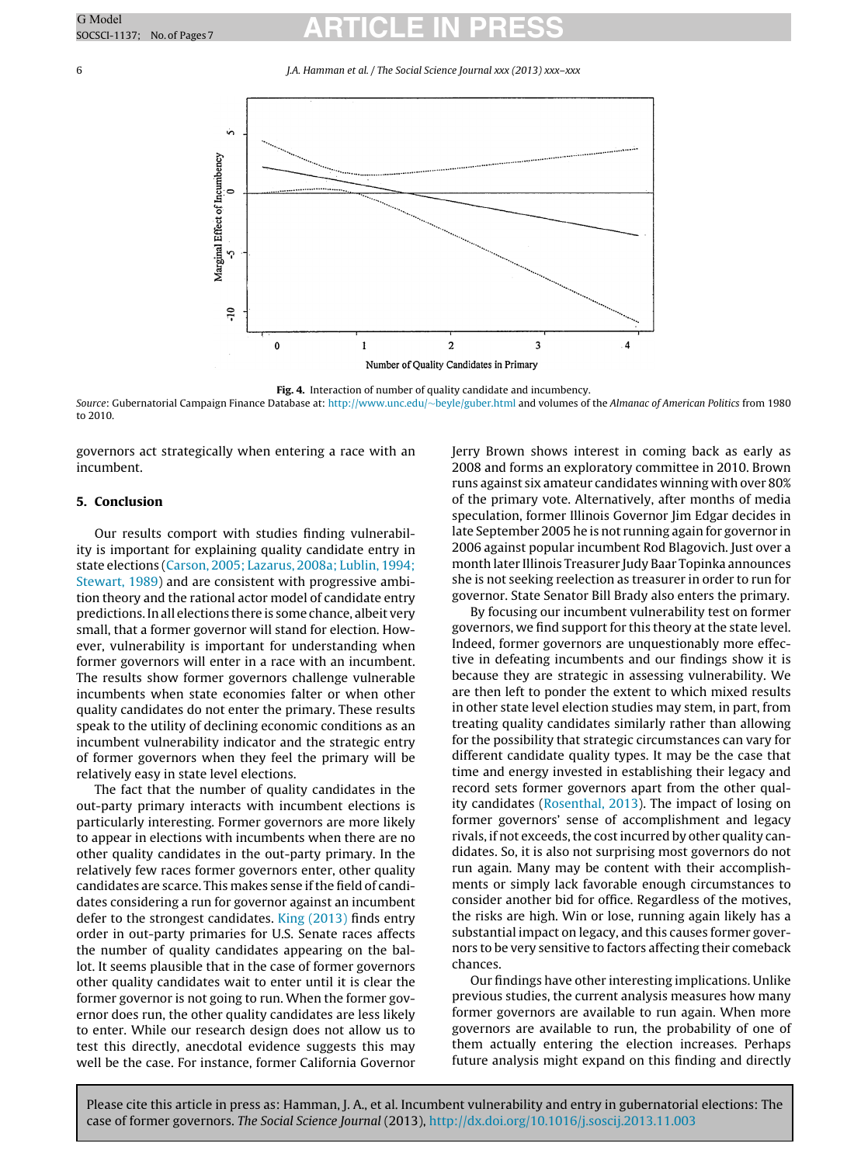### <span id="page-5-0"></span>6 J.A. Hamman et al. / The Social Science Journal xxx (2013) xxx–xxx



**Fig. 4.** Interaction of number of quality candidate and incumbency. Source: Gubernatorial Campaign Finance Database at: [http://www.unc.edu/](http://www.unc.edu/~beyle/guber.html)∼beyle/guber.html and volumes of the Almanac of American Politics from 1980 to 2010.

governors act strategically when entering a race with an incumbent.

### **5. Conclusion**

Our results comport with studies finding vulnerability is important for explaining quality candidate entry in state elections ([Carson,](#page-6-0) [2005;](#page-6-0) [Lazarus,](#page-6-0) [2008a;](#page-6-0) [Lublin,](#page-6-0) [1994;](#page-6-0) [Stewart,](#page-6-0) [1989\)](#page-6-0) and are consistent with progressive ambition theory and the rational actor model of candidate entry predictions.In all elections there is some chance, albeit very small, that a former governor will stand for election. However, vulnerability is important for understanding when former governors will enter in a race with an incumbent. The results show former governors challenge vulnerable incumbents when state economies falter or when other quality candidates do not enter the primary. These results speak to the utility of declining economic conditions as an incumbent vulnerability indicator and the strategic entry of former governors when they feel the primary will be relatively easy in state level elections.

The fact that the number of quality candidates in the out-party primary interacts with incumbent elections is particularly interesting. Former governors are more likely to appear in elections with incumbents when there are no other quality candidates in the out-party primary. In the relatively few races former governors enter, other quality candidates are scarce. This makes sense if the field of candidates considering a run for governor against an incumbent defer to the strongest candidates. [King](#page-6-0) [\(2013\)](#page-6-0) finds entry order in out-party primaries for U.S. Senate races affects the number of quality candidates appearing on the ballot. It seems plausible that in the case of former governors other quality candidates wait to enter until it is clear the former governor is not going to run. When the former governor does run, the other quality candidates are less likely to enter. While our research design does not allow us to test this directly, anecdotal evidence suggests this may well be the case. For instance, former California Governor

Jerry Brown shows interest in coming back as early as 2008 and forms an exploratory committee in 2010. Brown runs against six amateur candidates winning with over 80% of the primary vote. Alternatively, after months of media speculation, former Illinois Governor Jim Edgar decides in late September 2005 he is not running again for governor in 2006 against popular incumbent Rod Blagovich. Just over a month later Illinois Treasurer Judy Baar Topinka announces she is not seeking reelection as treasurer in order to run for governor. State Senator Bill Brady also enters the primary.

By focusing our incumbent vulnerability test on former governors, we find support for this theory at the state level. Indeed, former governors are unquestionably more effective in defeating incumbents and our findings show it is because they are strategic in assessing vulnerability. We are then left to ponder the extent to which mixed results in other state level election studies may stem, in part, from treating quality candidates similarly rather than allowing for the possibility that strategic circumstances can vary for different candidate quality types. It may be the case that time and energy invested in establishing their legacy and record sets former governors apart from the other quality candidates [\(Rosenthal,](#page-6-0) [2013\).](#page-6-0) The impact of losing on former governors' sense of accomplishment and legacy rivals, if not exceeds, the cost incurred by other quality candidates. So, it is also not surprising most governors do not run again. Many may be content with their accomplishments or simply lack favorable enough circumstances to consider another bid for office. Regardless of the motives, the risks are high. Win or lose, running again likely has a substantial impact on legacy, and this causes former governors to be very sensitive to factors affecting their comeback chances.

Our findings have other interesting implications. Unlike previous studies, the current analysis measures how many former governors are available to run again. When more governors are available to run, the probability of one of them actually entering the election increases. Perhaps future analysis might expand on this finding and directly